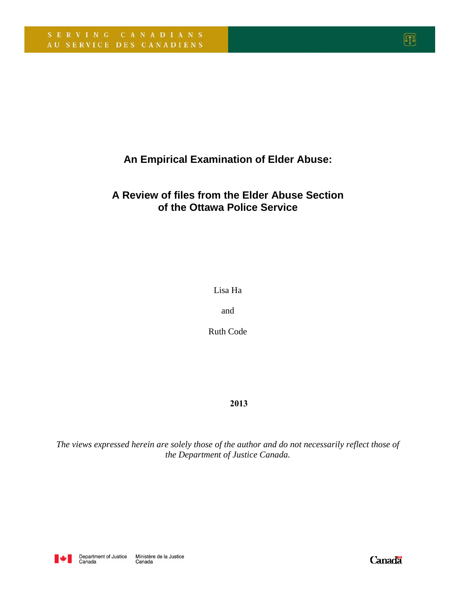**An Empirical Examination of Elder Abuse:** 

# **A Review of files from the Elder Abuse Section of the Ottawa Police Service**

Lisa Ha

and

Ruth Code

### **2013**

*The views expressed herein are solely those of the author and do not necessarily reflect those of the Department of Justice Canada.*



**Canada**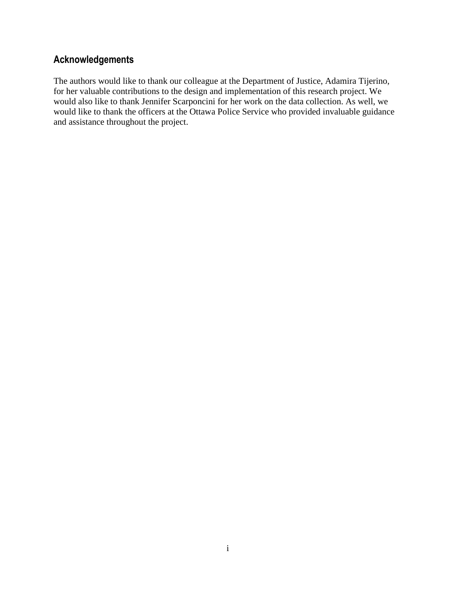# Acknowledgements

The authors would like to thank our colleague at the Department of Justice, Adamira Tijerino, for her valuable contributions to the design and implementation of this research project. We would also like to thank Jennifer Scarponcini for her work on the data collection. As well, we would like to thank the officers at the Ottawa Police Service who provided invaluable guidance and assistance throughout the project.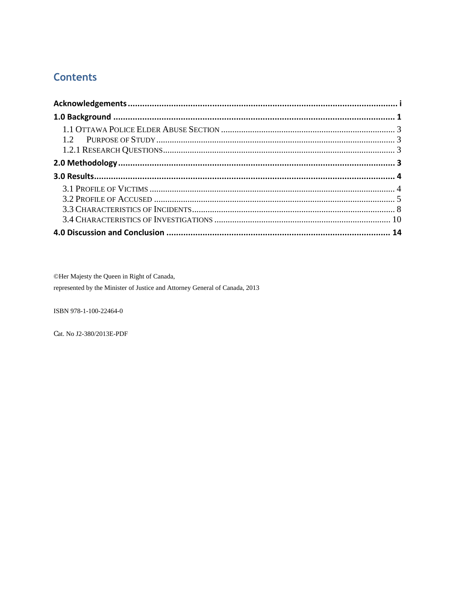# **Contents**

©Her Majesty the Queen in Right of Canada, represented by the Minister of Justice and Attorney General of Canada, 2013

ISBN 978-1-100-22464-0

Cat. No J2-380/2013E-PDF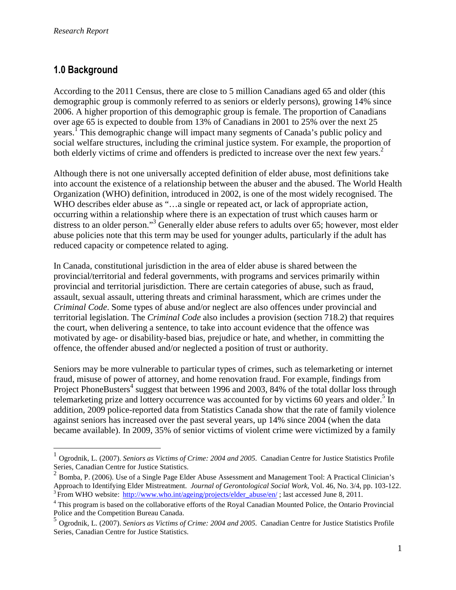# 1.0 Background

<u>.</u>

According to the 2011 Census, there are close to 5 million Canadians aged 65 and older (this demographic group is commonly referred to as seniors or elderly persons), growing 14% since 2006. A higher proportion of this demographic group is female. The proportion of Canadians over age 65 is expected to double from 13% of Canadians in 2001 to 25% over the next 25 years.<sup>I</sup> This demographic change will impact many segments of Canada's public policy and social welfare structures, including the criminal justice system. For example, the proportion of both elderly victims of crime and offenders is predicted to increase over the next few years.<sup>2</sup>

Although there is not one universally accepted definition of elder abuse, most definitions take into account the existence of a relationship between the abuser and the abused. The World Health Organization (WHO) definition, introduced in 2002, is one of the most widely recognised. The WHO describes elder abuse as "...a single or repeated act, or lack of appropriate action, occurring within a relationship where there is an expectation of trust which causes harm or distress to an older person."<sup>3</sup> Generally elder abuse refers to adults over 65; however, most elder abuse policies note that this term may be used for younger adults, particularly if the adult has reduced capacity or competence related to aging.

In Canada, constitutional jurisdiction in the area of elder abuse is shared between the provincial/territorial and federal governments, with programs and services primarily within provincial and territorial jurisdiction. There are certain categories of abuse, such as fraud, assault, sexual assault, uttering threats and criminal harassment, which are crimes under the *Criminal Code*. Some types of abuse and/or neglect are also offences under provincial and territorial legislation. The *Criminal Code* also includes a provision (section 718.2) that requires the court, when delivering a sentence, to take into account evidence that the offence was motivated by age- or disability-based bias, prejudice or hate, and whether, in committing the offence, the offender abused and/or neglected a position of trust or authority.

Seniors may be more vulnerable to particular types of crimes, such as telemarketing or internet fraud, misuse of power of attorney, and home renovation fraud. For example, findings from Project PhoneBusters<sup>4</sup> suggest that between 1996 and 2003, 84% of the total dollar loss through telemarketing prize and lottery occurrence was accounted for by victims 60 years and older.<sup>5</sup> In addition, 2009 police-reported data from Statistics Canada show that the rate of family violence against seniors has increased over the past several years, up 14% since 2004 (when the data became available). In 2009, 35% of senior victims of violent crime were victimized by a family

<sup>&</sup>lt;sup>1</sup> Ogrodnik, L. (2007). *Seniors as Victims of Crime: 2004 and 2005*. Canadian Centre for Justice Statistics Profile Series, Canadian Centre for Justice Statistics.

 $2$  Bomba, P. (2006). Use of a Single Page Elder Abuse Assessment and Management Tool: A Practical Clinician's Approach to Identifying Elder Mistreatment. *Journal of Gerontological Social Work*, Vol. 46, No. 3/4, pp. 103-122. <sup>3</sup> From WHO website: http://www.who.int/ageing/projects/elder\_abuse/en/; last accessed June 8, 2011.

<sup>&</sup>lt;sup>4</sup> This program is based on the collaborative efforts of the Royal Canadian Mounted Police, the Ontario Provincial Police and the Competition Bureau Canada.

<sup>5</sup> Ogrodnik, L. (2007). *Seniors as Victims of Crime: 2004 and 2005*. Canadian Centre for Justice Statistics Profile Series, Canadian Centre for Justice Statistics.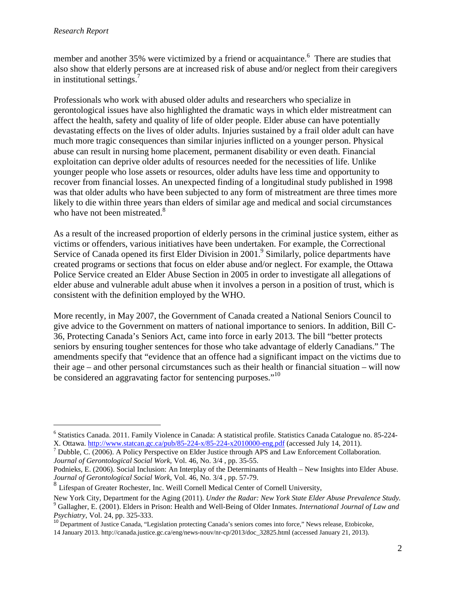<u>.</u>

member and another 35% were victimized by a friend or acquaintance.<sup>6</sup> There are studies that also show that elderly persons are at increased risk of abuse and/or neglect from their caregivers in institutional settings.<sup>7</sup>

Professionals who work with abused older adults and researchers who specialize in gerontological issues have also highlighted the dramatic ways in which elder mistreatment can affect the health, safety and quality of life of older people. Elder abuse can have potentially devastating effects on the lives of older adults. Injuries sustained by a frail older adult can have much more tragic consequences than similar injuries inflicted on a younger person. Physical abuse can result in nursing home placement, permanent disability or even death. Financial exploitation can deprive older adults of resources needed for the necessities of life. Unlike younger people who lose assets or resources, older adults have less time and opportunity to recover from financial losses. An unexpected finding of a longitudinal study published in 1998 was that older adults who have been subjected to any form of mistreatment are three times more likely to die within three years than elders of similar age and medical and social circumstances who have not been mistreated.<sup>8</sup>

As a result of the increased proportion of elderly persons in the criminal justice system, either as victims or offenders, various initiatives have been undertaken. For example, the Correctional Service of Canada opened its first Elder Division in 2001.<sup>9</sup> Similarly, police departments have created programs or sections that focus on elder abuse and/or neglect. For example, the Ottawa Police Service created an Elder Abuse Section in 2005 in order to investigate all allegations of elder abuse and vulnerable adult abuse when it involves a person in a position of trust, which is consistent with the definition employed by the WHO.

More recently, in May 2007, the Government of Canada created a National Seniors Council to give advice to the Government on matters of national importance to seniors. In addition, Bill C-36, Protecting Canada's Seniors Act, came into force in early 2013. The bill "better protects seniors by ensuring tougher sentences for those who take advantage of elderly Canadians." The amendments specify that "evidence that an offence had a significant impact on the victims due to their age – and other personal circumstances such as their health or financial situation – will now be considered an aggravating factor for sentencing purposes."<sup>10</sup>

<sup>6</sup> Statistics Canada. 2011. Family Violence in Canada: A statistical profile. Statistics Canada Catalogue no. 85-224- X. Ottawa. http://www.statcan.gc.ca/pub/85-224-x/85-224-x2010000-eng.pdf (accessed July 14, 2011).

 $^7$  Dubble, C. (2006). A Policy Perspective on Elder Justice through APS and Law Enforcement Collaboration. *Journal of Gerontological Social Work*, Vol. 46, No. 3/4 , pp. 35-55.

Podnieks, E. (2006). Social Inclusion: An Interplay of the Determinants of Health – New Insights into Elder Abuse. *Journal of Gerontological Social Work*, Vol. 46, No. 3/4 , pp. 57-79.

<sup>&</sup>lt;sup>8</sup> Lifespan of Greater Rochester, Inc. Weill Cornell Medical Center of Cornell University,

New York City, Department for the Aging (2011). *Under the Radar: New York State Elder Abuse Prevalence Study.*  9 Gallagher, E. (2001). Elders in Prison: Health and Well-Being of Older Inmates. *International Journal of Law and Psychiatry*, Vol. 24, pp. 325-333.

<sup>&</sup>lt;sup>10</sup> Department of Justice Canada, "Legislation protecting Canada's seniors comes into force," News release, Etobicoke,

<sup>14</sup> January 2013. http://canada.justice.gc.ca/eng/news-nouv/nr-cp/2013/doc\_32825.html (accessed January 21, 2013).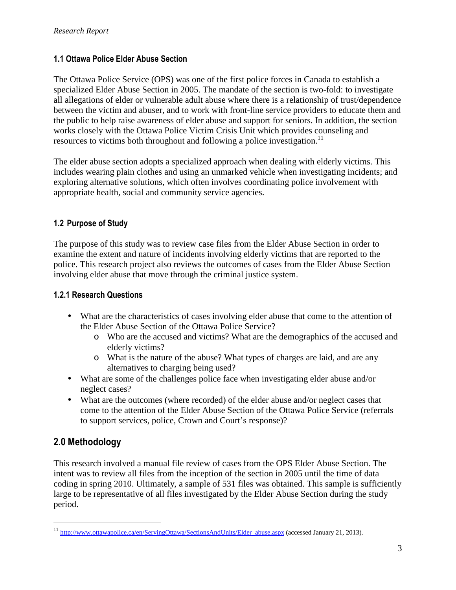### 1.1 Ottawa Police Elder Abuse Section

The Ottawa Police Service (OPS) was one of the first police forces in Canada to establish a specialized Elder Abuse Section in 2005. The mandate of the section is two-fold: to investigate all allegations of elder or vulnerable adult abuse where there is a relationship of trust/dependence between the victim and abuser, and to work with front-line service providers to educate them and the public to help raise awareness of elder abuse and support for seniors. In addition, the section works closely with the Ottawa Police Victim Crisis Unit which provides counseling and resources to victims both throughout and following a police investigation.<sup>11</sup>

The elder abuse section adopts a specialized approach when dealing with elderly victims. This includes wearing plain clothes and using an unmarked vehicle when investigating incidents; and exploring alternative solutions, which often involves coordinating police involvement with appropriate health, social and community service agencies.

## 1.2 Purpose of Study

The purpose of this study was to review case files from the Elder Abuse Section in order to examine the extent and nature of incidents involving elderly victims that are reported to the police. This research project also reviews the outcomes of cases from the Elder Abuse Section involving elder abuse that move through the criminal justice system.

### 1.2.1 Research Questions

- What are the characteristics of cases involving elder abuse that come to the attention of the Elder Abuse Section of the Ottawa Police Service?
	- o Who are the accused and victims? What are the demographics of the accused and elderly victims?
	- o What is the nature of the abuse? What types of charges are laid, and are any alternatives to charging being used?
- What are some of the challenges police face when investigating elder abuse and/or neglect cases?
- What are the outcomes (where recorded) of the elder abuse and/or neglect cases that come to the attention of the Elder Abuse Section of the Ottawa Police Service (referrals to support services, police, Crown and Court's response)?

## 2.0 Methodology

 $\overline{a}$ 

This research involved a manual file review of cases from the OPS Elder Abuse Section. The intent was to review all files from the inception of the section in 2005 until the time of data coding in spring 2010. Ultimately, a sample of 531 files was obtained. This sample is sufficiently large to be representative of all files investigated by the Elder Abuse Section during the study period.

<sup>&</sup>lt;sup>11</sup> http://www.ottawapolice.ca/en/ServingOttawa/SectionsAndUnits/Elder\_abuse.aspx (accessed January 21, 2013).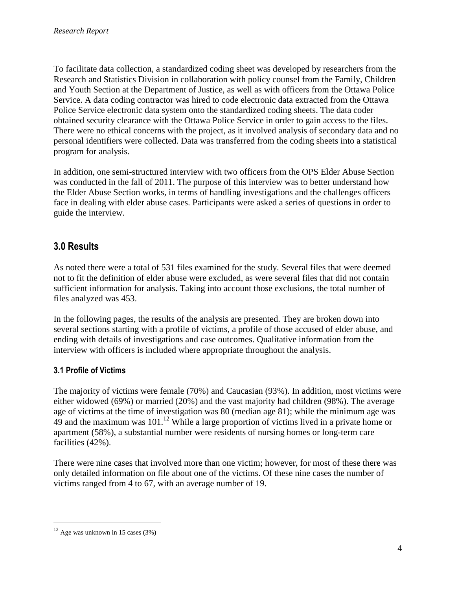To facilitate data collection, a standardized coding sheet was developed by researchers from the Research and Statistics Division in collaboration with policy counsel from the Family, Children and Youth Section at the Department of Justice, as well as with officers from the Ottawa Police Service. A data coding contractor was hired to code electronic data extracted from the Ottawa Police Service electronic data system onto the standardized coding sheets. The data coder obtained security clearance with the Ottawa Police Service in order to gain access to the files. There were no ethical concerns with the project, as it involved analysis of secondary data and no personal identifiers were collected. Data was transferred from the coding sheets into a statistical program for analysis.

In addition, one semi-structured interview with two officers from the OPS Elder Abuse Section was conducted in the fall of 2011. The purpose of this interview was to better understand how the Elder Abuse Section works, in terms of handling investigations and the challenges officers face in dealing with elder abuse cases. Participants were asked a series of questions in order to guide the interview.

## 3.0 Results

As noted there were a total of 531 files examined for the study. Several files that were deemed not to fit the definition of elder abuse were excluded, as were several files that did not contain sufficient information for analysis. Taking into account those exclusions, the total number of files analyzed was 453.

In the following pages, the results of the analysis are presented. They are broken down into several sections starting with a profile of victims, a profile of those accused of elder abuse, and ending with details of investigations and case outcomes. Qualitative information from the interview with officers is included where appropriate throughout the analysis.

## 3.1 Profile of Victims

The majority of victims were female (70%) and Caucasian (93%). In addition, most victims were either widowed (69%) or married (20%) and the vast majority had children (98%). The average age of victims at the time of investigation was 80 (median age 81); while the minimum age was  $49$  and the maximum was 101.<sup>12</sup> While a large proportion of victims lived in a private home or apartment (58%), a substantial number were residents of nursing homes or long-term care facilities (42%).

There were nine cases that involved more than one victim; however, for most of these there was only detailed information on file about one of the victims. Of these nine cases the number of victims ranged from 4 to 67, with an average number of 19.

<u>.</u>

 $12$  Age was unknown in 15 cases (3%)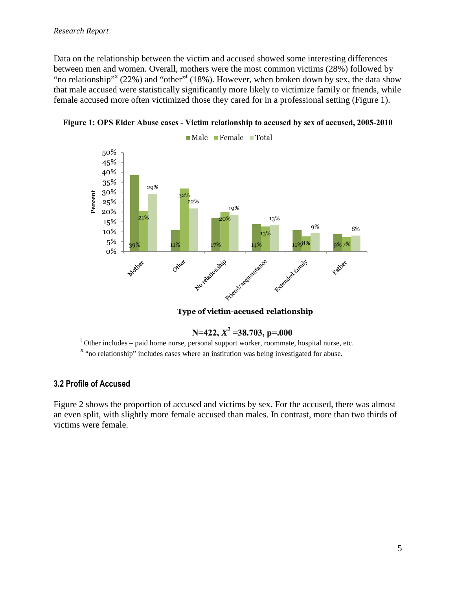Data on the relationship between the victim and accused showed some interesting differences between men and women. Overall, mothers were the most common victims (28%) followed by "no relationship"<sup>x</sup> (22%) and "other"<sup>t</sup> (18%). However, when broken down by sex, the data show that male accused were statistically significantly more likely to victimize family or friends, while female accused more often victimized those they cared for in a professional setting (Figure 1).





Type of victim-accused relationship

 $N=422, X^2=38.703, p=.000$ 

t Other includes – paid home nurse, personal support worker, roommate, hospital nurse, etc.

<sup>x</sup> "no relationship" includes cases where an institution was being investigated for abuse.

#### 3.2 Profile of Accused

Figure 2 shows the proportion of accused and victims by sex. For the accused, there was almost an even split, with slightly more female accused than males. In contrast, more than two thirds of victims were female.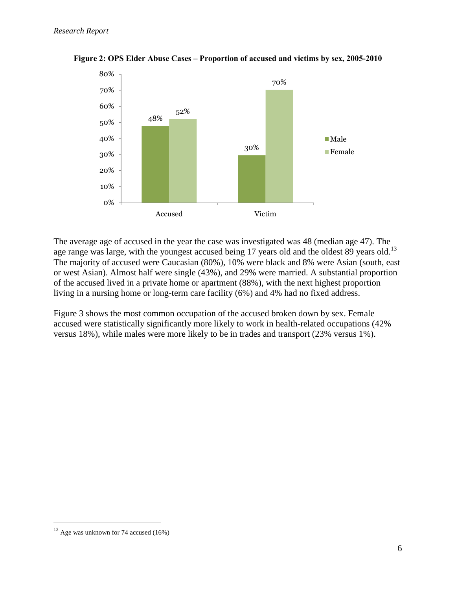

**Figure 2: OPS Elder Abuse Cases – Proportion of accused and victims by sex, 2005-2010** 

The average age of accused in the year the case was investigated was 48 (median age 47). The age range was large, with the youngest accused being 17 years old and the oldest 89 years old.<sup>13</sup> The majority of accused were Caucasian (80%), 10% were black and 8% were Asian (south, east or west Asian). Almost half were single (43%), and 29% were married. A substantial proportion of the accused lived in a private home or apartment (88%), with the next highest proportion living in a nursing home or long-term care facility (6%) and 4% had no fixed address.

Figure 3 shows the most common occupation of the accused broken down by sex. Female accused were statistically significantly more likely to work in health-related occupations (42% versus 18%), while males were more likely to be in trades and transport (23% versus 1%).

<u>.</u>

 $13$  Age was unknown for 74 accused (16%)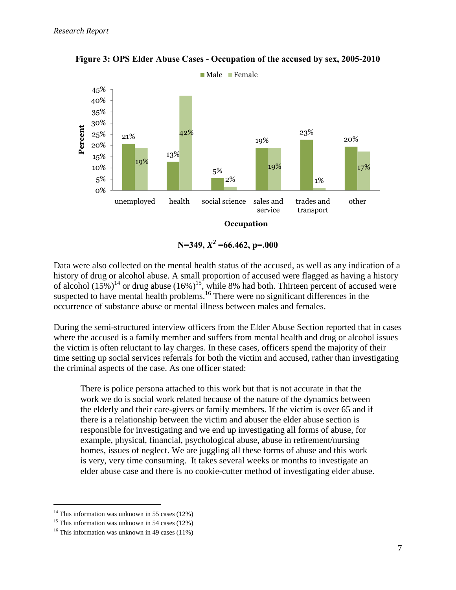

**Figure 3: OPS Elder Abuse Cases - Occupation of the accused by sex, 2005-2010** 

 $N=349, X^2=66.462, p=.000$ 

Data were also collected on the mental health status of the accused, as well as any indication of a history of drug or alcohol abuse. A small proportion of accused were flagged as having a history of alcohol  $(15\%)^{14}$  or drug abuse  $(16\%)^{15}$ , while 8% had both. Thirteen percent of accused were suspected to have mental health problems.<sup>16</sup> There were no significant differences in the occurrence of substance abuse or mental illness between males and females.

During the semi-structured interview officers from the Elder Abuse Section reported that in cases where the accused is a family member and suffers from mental health and drug or alcohol issues the victim is often reluctant to lay charges. In these cases, officers spend the majority of their time setting up social services referrals for both the victim and accused, rather than investigating the criminal aspects of the case. As one officer stated:

There is police persona attached to this work but that is not accurate in that the work we do is social work related because of the nature of the dynamics between the elderly and their care-givers or family members. If the victim is over 65 and if there is a relationship between the victim and abuser the elder abuse section is responsible for investigating and we end up investigating all forms of abuse, for example, physical, financial, psychological abuse, abuse in retirement/nursing homes, issues of neglect. We are juggling all these forms of abuse and this work is very, very time consuming. It takes several weeks or months to investigate an elder abuse case and there is no cookie-cutter method of investigating elder abuse.

<u>.</u>

<sup>&</sup>lt;sup>14</sup> This information was unknown in 55 cases  $(12\%)$ 

<sup>&</sup>lt;sup>15</sup> This information was unknown in 54 cases  $(12\%)$ 

<sup>&</sup>lt;sup>16</sup> This information was unknown in 49 cases  $(11\%)$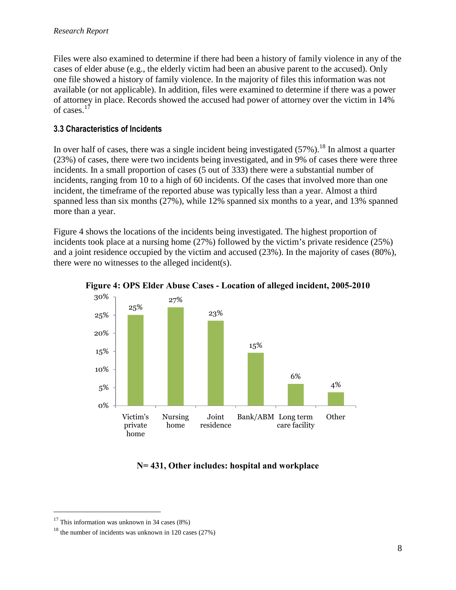Files were also examined to determine if there had been a history of family violence in any of the cases of elder abuse (e.g., the elderly victim had been an abusive parent to the accused). Only one file showed a history of family violence. In the majority of files this information was not available (or not applicable). In addition, files were examined to determine if there was a power of attorney in place. Records showed the accused had power of attorney over the victim in 14% of cases. $17$ 

### 3.3 Characteristics of Incidents

In over half of cases, there was a single incident being investigated  $(57\%)$ .<sup>18</sup> In almost a quarter (23%) of cases, there were two incidents being investigated, and in 9% of cases there were three incidents. In a small proportion of cases (5 out of 333) there were a substantial number of incidents, ranging from 10 to a high of 60 incidents. Of the cases that involved more than one incident, the timeframe of the reported abuse was typically less than a year. Almost a third spanned less than six months (27%), while 12% spanned six months to a year, and 13% spanned more than a year.

Figure 4 shows the locations of the incidents being investigated. The highest proportion of incidents took place at a nursing home (27%) followed by the victim's private residence (25%) and a joint residence occupied by the victim and accused (23%). In the majority of cases (80%), there were no witnesses to the alleged incident(s).



**Figure 4: OPS Elder Abuse Cases - Location of alleged incident, 2005-2010** 

## **N= 431, Other includes: hospital and workplace**

-

<sup>&</sup>lt;sup>17</sup> This information was unknown in 34 cases  $(8\%)$ 

 $18$  the number of incidents was unknown in 120 cases (27%)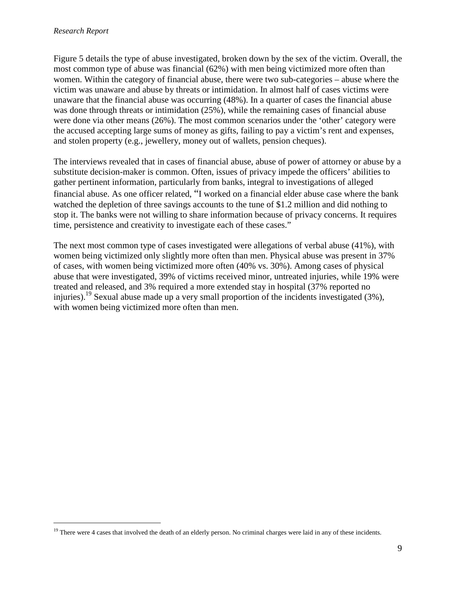$\overline{a}$ 

Figure 5 details the type of abuse investigated, broken down by the sex of the victim. Overall, the most common type of abuse was financial (62%) with men being victimized more often than women. Within the category of financial abuse, there were two sub-categories – abuse where the victim was unaware and abuse by threats or intimidation. In almost half of cases victims were unaware that the financial abuse was occurring (48%). In a quarter of cases the financial abuse was done through threats or intimidation (25%), while the remaining cases of financial abuse were done via other means (26%). The most common scenarios under the 'other' category were the accused accepting large sums of money as gifts, failing to pay a victim's rent and expenses, and stolen property (e.g., jewellery, money out of wallets, pension cheques).

The interviews revealed that in cases of financial abuse, abuse of power of attorney or abuse by a substitute decision-maker is common. Often, issues of privacy impede the officers' abilities to gather pertinent information, particularly from banks, integral to investigations of alleged financial abuse. As one officer related, "I worked on a financial elder abuse case where the bank watched the depletion of three savings accounts to the tune of \$1.2 million and did nothing to stop it. The banks were not willing to share information because of privacy concerns. It requires time, persistence and creativity to investigate each of these cases."

The next most common type of cases investigated were allegations of verbal abuse (41%), with women being victimized only slightly more often than men. Physical abuse was present in 37% of cases, with women being victimized more often (40% vs. 30%). Among cases of physical abuse that were investigated, 39% of victims received minor, untreated injuries, while 19% were treated and released, and 3% required a more extended stay in hospital (37% reported no injuries).<sup>19</sup> Sexual abuse made up a very small proportion of the incidents investigated (3%), with women being victimized more often than men.

<sup>&</sup>lt;sup>19</sup> There were 4 cases that involved the death of an elderly person. No criminal charges were laid in any of these incidents.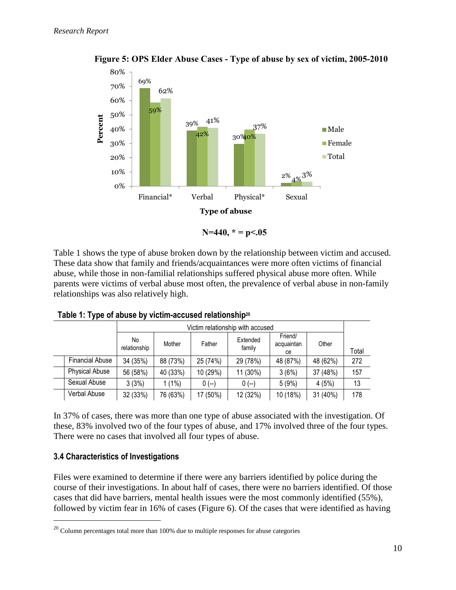

 **Figure 5: OPS Elder Abuse Cases - Type of abuse by sex of victim, 2005-2010** 

Table 1 shows the type of abuse broken down by the relationship between victim and accused. These data show that family and friends/acquaintances were more often victims of financial abuse, while those in non-familial relationships suffered physical abuse more often. While parents were victims of verbal abuse most often, the prevalence of verbal abuse in non-family relationships was also relatively high.

|                        | Victim relationship with accused |          |          |                    |                             |          |       |
|------------------------|----------------------------------|----------|----------|--------------------|-----------------------------|----------|-------|
|                        | No.<br>relationship              | Mother   | Father   | Extended<br>family | Friend/<br>acquaintan<br>ce | Other    | Total |
| <b>Financial Abuse</b> | 34 (35%)                         | 88 (73%) | 25 (74%) | 29 (78%)           | 48 (87%)                    | 48 (62%) | 272   |
| <b>Physical Abuse</b>  | 56 (58%)                         | 40 (33%) | 10 (29%) | 11 (30%)           | 3(6%)                       | 37 (48%) | 157   |
| Sexual Abuse           | 3(3%)                            | $1(1\%)$ | $0 (-)$  | $0(-)$             | 5(9%)                       | 4(5%)    | 13    |
| Verbal Abuse           | 32 (33%)                         | 76 (63%) | 17 (50%) | 12 (32%)           | 10 (18%)                    | 31 (40%) | 178   |

Table 1: Type of abuse by victim-accused relationship<sup>20</sup>

In 37% of cases, there was more than one type of abuse associated with the investigation. Of these, 83% involved two of the four types of abuse, and 17% involved three of the four types. There were no cases that involved all four types of abuse.

## 3.4 Characteristics of Investigations

 $\overline{a}$ 

Files were examined to determine if there were any barriers identified by police during the course of their investigations. In about half of cases, there were no barriers identified. Of those cases that did have barriers, mental health issues were the most commonly identified (55%), followed by victim fear in 16% of cases (Figure 6). Of the cases that were identified as having

 $20$  Column percentages total more than 100% due to multiple responses for abuse categories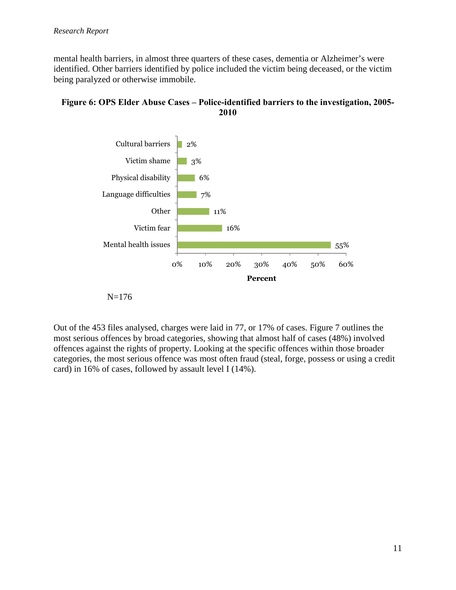mental health barriers, in almost three quarters of these cases, dementia or Alzheimer's were identified. Other barriers identified by police included the victim being deceased, or the victim being paralyzed or otherwise immobile.





N=176

Out of the 453 files analysed, charges were laid in 77, or 17% of cases. Figure 7 outlines the most serious offences by broad categories, showing that almost half of cases (48%) involved offences against the rights of property. Looking at the specific offences within those broader categories, the most serious offence was most often fraud (steal, forge, possess or using a credit card) in 16% of cases, followed by assault level I (14%).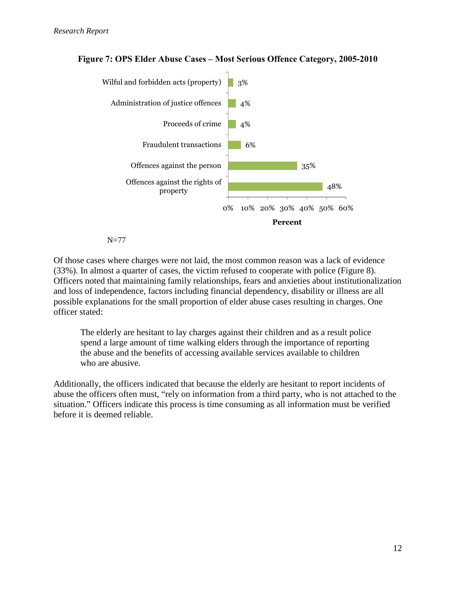

#### **Figure 7: OPS Elder Abuse Cases – Most Serious Offence Category, 2005-2010**

#### N=77

Of those cases where charges were not laid, the most common reason was a lack of evidence (33%). In almost a quarter of cases, the victim refused to cooperate with police (Figure 8). Officers noted that maintaining family relationships, fears and anxieties about institutionalization and loss of independence, factors including financial dependency, disability or illness are all possible explanations for the small proportion of elder abuse cases resulting in charges. One officer stated:

The elderly are hesitant to lay charges against their children and as a result police spend a large amount of time walking elders through the importance of reporting the abuse and the benefits of accessing available services available to children who are abusive.

Additionally, the officers indicated that because the elderly are hesitant to report incidents of abuse the officers often must, "rely on information from a third party, who is not attached to the situation." Officers indicate this process is time consuming as all information must be verified before it is deemed reliable.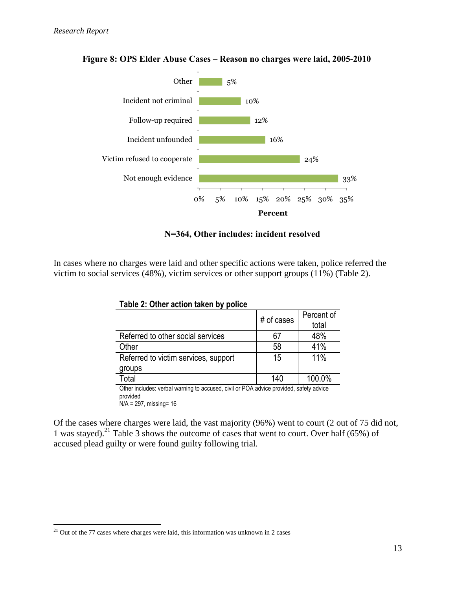

#### **Figure 8: OPS Elder Abuse Cases – Reason no charges were laid, 2005-2010**

 **N=364, Other includes: incident resolved** 

In cases where no charges were laid and other specific actions were taken, police referred the victim to social services (48%), victim services or other support groups (11%) (Table 2).

| . .                                                                                                |            |                     |  |
|----------------------------------------------------------------------------------------------------|------------|---------------------|--|
|                                                                                                    | # of cases | Percent of<br>total |  |
| Referred to other social services                                                                  | 67         | 48%                 |  |
| Other                                                                                              | 58         | 41%                 |  |
| Referred to victim services, support                                                               | 15         | 11%                 |  |
| groups                                                                                             |            |                     |  |
| Total                                                                                              | 140        | 100.0%              |  |
| Other includes: verbal warning to accused, civil or POA advice provided, safety advice<br>hebivora |            |                     |  |

| Table 2: Other action taken by police |  |  |  |  |  |
|---------------------------------------|--|--|--|--|--|
|---------------------------------------|--|--|--|--|--|

provided N/A = 297, missing= 16

Of the cases where charges were laid, the vast majority (96%) went to court (2 out of 75 did not, 1 was stayed).<sup>21</sup> Table 3 shows the outcome of cases that went to court. Over half (65%) of accused plead guilty or were found guilty following trial.

<sup>&</sup>lt;u>.</u>  $21$  Out of the 77 cases where charges were laid, this information was unknown in 2 cases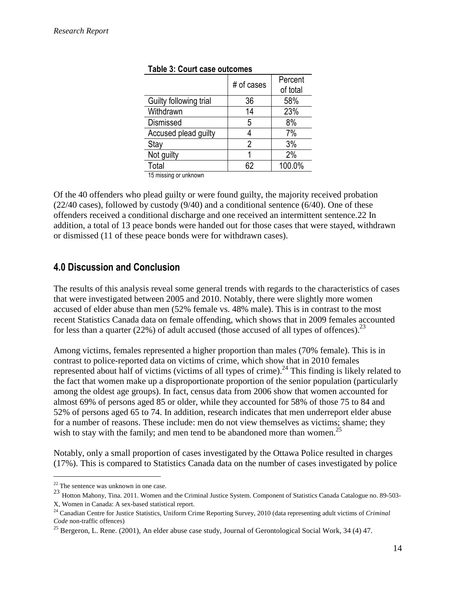|                        | # of cases | Percent<br>of total |
|------------------------|------------|---------------------|
| Guilty following trial | 36         | 58%                 |
| Withdrawn              | 14         | 23%                 |
| <b>Dismissed</b>       | 5          | 8%                  |
| Accused plead guilty   |            | 7%                  |
| Stay                   | 2          | 3%                  |
| Not guilty             |            | 2%                  |
| Total                  | 62         | 100.0%              |
| $\cdots$               |            |                     |

#### Table 3: Court case outcomes

15 missing or unknown

Of the 40 offenders who plead guilty or were found guilty, the majority received probation (22/40 cases), followed by custody (9/40) and a conditional sentence (6/40). One of these offenders received a conditional discharge and one received an intermittent sentence.22 In addition, a total of 13 peace bonds were handed out for those cases that were stayed, withdrawn or dismissed (11 of these peace bonds were for withdrawn cases).

## 4.0 Discussion and Conclusion

The results of this analysis reveal some general trends with regards to the characteristics of cases that were investigated between 2005 and 2010. Notably, there were slightly more women accused of elder abuse than men (52% female vs. 48% male). This is in contrast to the most recent Statistics Canada data on female offending, which shows that in 2009 females accounted for less than a quarter (22%) of adult accused (those accused of all types of offences).<sup>23</sup>

Among victims, females represented a higher proportion than males (70% female). This is in contrast to police-reported data on victims of crime, which show that in 2010 females represented about half of victims (victims of all types of crime).<sup>24</sup> This finding is likely related to the fact that women make up a disproportionate proportion of the senior population (particularly among the oldest age groups). In fact, census data from 2006 show that women accounted for almost 69% of persons aged 85 or older, while they accounted for 58% of those 75 to 84 and 52% of persons aged 65 to 74. In addition, research indicates that men underreport elder abuse for a number of reasons. These include: men do not view themselves as victims; shame; they wish to stay with the family; and men tend to be abandoned more than women.<sup>25</sup>

Notably, only a small proportion of cases investigated by the Ottawa Police resulted in charges (17%). This is compared to Statistics Canada data on the number of cases investigated by police

-

<sup>&</sup>lt;sup>22</sup> The sentence was unknown in one case.

<sup>23</sup> Hotton Mahony, Tina. 2011. Women and the Criminal Justice System. Component of Statistics Canada Catalogue no. 89-503-X, Women in Canada: A sex-based statistical report.

<sup>24</sup> Canadian Centre for Justice Statistics, Uniform Crime Reporting Survey, 2010 (data representing adult victims of *Criminal Code* non-traffic offences)

<sup>&</sup>lt;sup>25</sup> Bergeron, L. Rene. (2001), An elder abuse case study, Journal of Gerontological Social Work, 34 (4) 47.